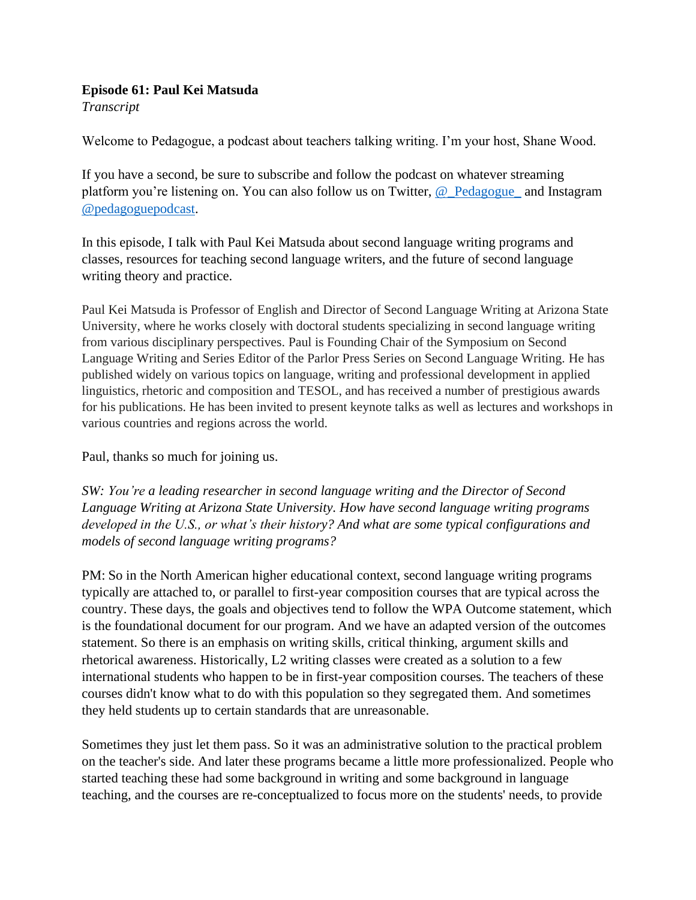## **Episode 61: Paul Kei Matsuda**

*Transcript* 

Welcome to Pedagogue, a podcast about teachers talking writing. I'm your host, Shane Wood.

If you have a second, be sure to subscribe and follow the podcast on whatever streaming platform you're listening on. You can also follow us on Twitter, [@\\_Pedagogue\\_](https://twitter.com/_Pedagogue_) and Instagram [@pedagoguepodcast.](https://www.instagram.com/pedagoguepodcast/)

In this episode, I talk with Paul Kei Matsuda about second language writing programs and classes, resources for teaching second language writers, and the future of second language writing theory and practice.

Paul Kei Matsuda is Professor of English and Director of Second Language Writing at Arizona State University, where he works closely with doctoral students specializing in second language writing from various disciplinary perspectives. Paul is Founding Chair of the Symposium on Second Language Writing and Series Editor of the Parlor Press Series on Second Language Writing. He has published widely on various topics on language, writing and professional development in applied linguistics, rhetoric and composition and TESOL, and has received a number of prestigious awards for his publications. He has been invited to present keynote talks as well as lectures and workshops in various countries and regions across the world.

Paul, thanks so much for joining us.

*SW: You're a leading researcher in second language writing and the Director of Second Language Writing at Arizona State University. How have second language writing programs developed in the U.S., or what's their history? And what are some typical configurations and models of second language writing programs?* 

PM: So in the North American higher educational context, second language writing programs typically are attached to, or parallel to first-year composition courses that are typical across the country. These days, the goals and objectives tend to follow the WPA Outcome statement, which is the foundational document for our program. And we have an adapted version of the outcomes statement. So there is an emphasis on writing skills, critical thinking, argument skills and rhetorical awareness. Historically, L2 writing classes were created as a solution to a few international students who happen to be in first-year composition courses. The teachers of these courses didn't know what to do with this population so they segregated them. And sometimes they held students up to certain standards that are unreasonable.

Sometimes they just let them pass. So it was an administrative solution to the practical problem on the teacher's side. And later these programs became a little more professionalized. People who started teaching these had some background in writing and some background in language teaching, and the courses are re-conceptualized to focus more on the students' needs, to provide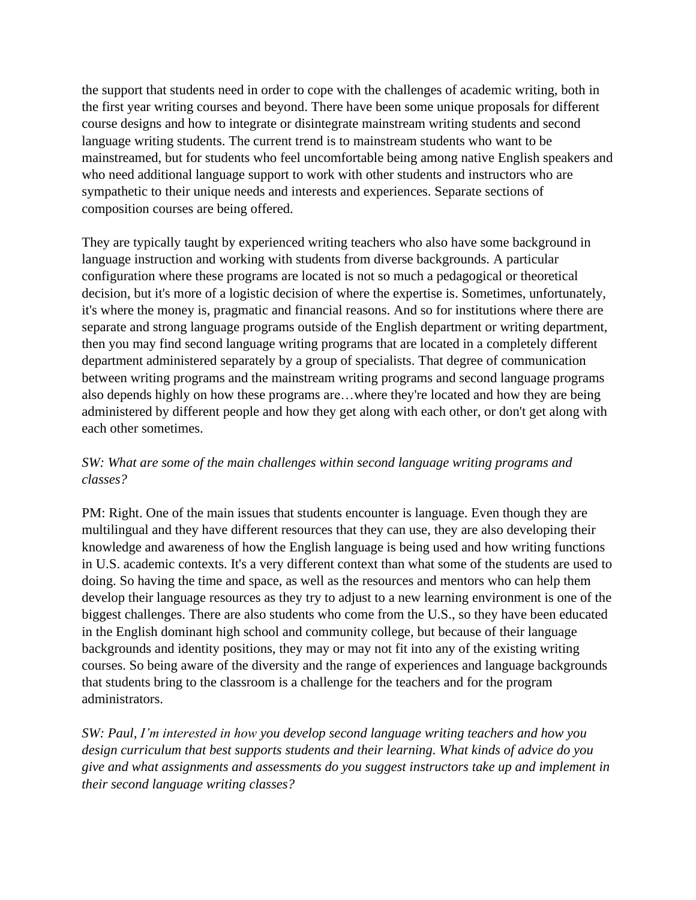the support that students need in order to cope with the challenges of academic writing, both in the first year writing courses and beyond. There have been some unique proposals for different course designs and how to integrate or disintegrate mainstream writing students and second language writing students. The current trend is to mainstream students who want to be mainstreamed, but for students who feel uncomfortable being among native English speakers and who need additional language support to work with other students and instructors who are sympathetic to their unique needs and interests and experiences. Separate sections of composition courses are being offered.

They are typically taught by experienced writing teachers who also have some background in language instruction and working with students from diverse backgrounds. A particular configuration where these programs are located is not so much a pedagogical or theoretical decision, but it's more of a logistic decision of where the expertise is. Sometimes, unfortunately, it's where the money is, pragmatic and financial reasons. And so for institutions where there are separate and strong language programs outside of the English department or writing department, then you may find second language writing programs that are located in a completely different department administered separately by a group of specialists. That degree of communication between writing programs and the mainstream writing programs and second language programs also depends highly on how these programs are…where they're located and how they are being administered by different people and how they get along with each other, or don't get along with each other sometimes.

## *SW: What are some of the main challenges within second language writing programs and classes?*

PM: Right. One of the main issues that students encounter is language. Even though they are multilingual and they have different resources that they can use, they are also developing their knowledge and awareness of how the English language is being used and how writing functions in U.S. academic contexts. It's a very different context than what some of the students are used to doing. So having the time and space, as well as the resources and mentors who can help them develop their language resources as they try to adjust to a new learning environment is one of the biggest challenges. There are also students who come from the U.S., so they have been educated in the English dominant high school and community college, but because of their language backgrounds and identity positions, they may or may not fit into any of the existing writing courses. So being aware of the diversity and the range of experiences and language backgrounds that students bring to the classroom is a challenge for the teachers and for the program administrators.

*SW: Paul, I'm interested in how you develop second language writing teachers and how you design curriculum that best supports students and their learning. What kinds of advice do you give and what assignments and assessments do you suggest instructors take up and implement in their second language writing classes?*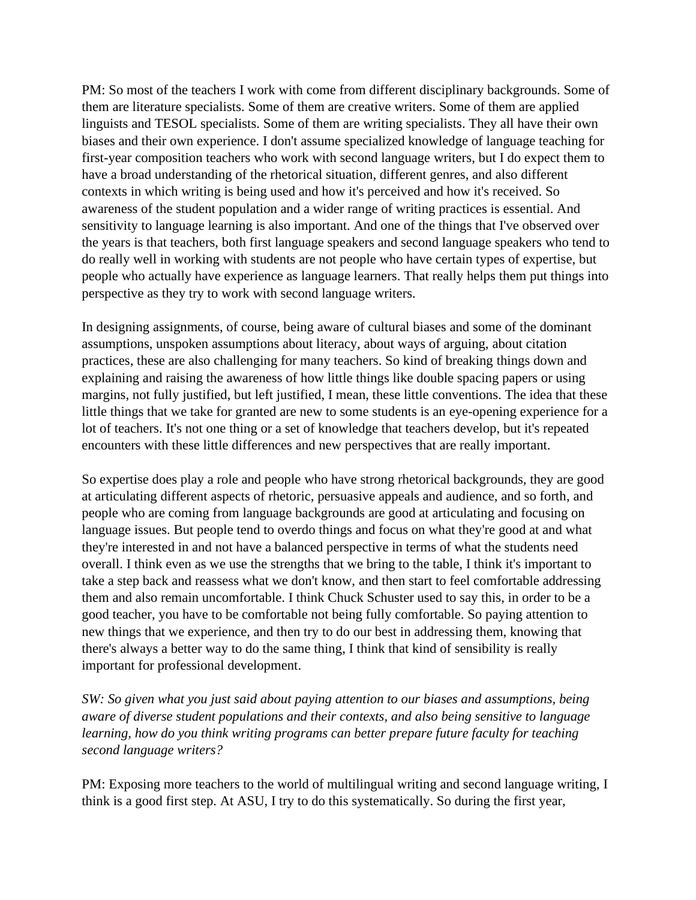PM: So most of the teachers I work with come from different disciplinary backgrounds. Some of them are literature specialists. Some of them are creative writers. Some of them are applied linguists and TESOL specialists. Some of them are writing specialists. They all have their own biases and their own experience. I don't assume specialized knowledge of language teaching for first-year composition teachers who work with second language writers, but I do expect them to have a broad understanding of the rhetorical situation, different genres, and also different contexts in which writing is being used and how it's perceived and how it's received. So awareness of the student population and a wider range of writing practices is essential. And sensitivity to language learning is also important. And one of the things that I've observed over the years is that teachers, both first language speakers and second language speakers who tend to do really well in working with students are not people who have certain types of expertise, but people who actually have experience as language learners. That really helps them put things into perspective as they try to work with second language writers.

In designing assignments, of course, being aware of cultural biases and some of the dominant assumptions, unspoken assumptions about literacy, about ways of arguing, about citation practices, these are also challenging for many teachers. So kind of breaking things down and explaining and raising the awareness of how little things like double spacing papers or using margins, not fully justified, but left justified, I mean, these little conventions. The idea that these little things that we take for granted are new to some students is an eye-opening experience for a lot of teachers. It's not one thing or a set of knowledge that teachers develop, but it's repeated encounters with these little differences and new perspectives that are really important.

So expertise does play a role and people who have strong rhetorical backgrounds, they are good at articulating different aspects of rhetoric, persuasive appeals and audience, and so forth, and people who are coming from language backgrounds are good at articulating and focusing on language issues. But people tend to overdo things and focus on what they're good at and what they're interested in and not have a balanced perspective in terms of what the students need overall. I think even as we use the strengths that we bring to the table, I think it's important to take a step back and reassess what we don't know, and then start to feel comfortable addressing them and also remain uncomfortable. I think Chuck Schuster used to say this, in order to be a good teacher, you have to be comfortable not being fully comfortable. So paying attention to new things that we experience, and then try to do our best in addressing them, knowing that there's always a better way to do the same thing, I think that kind of sensibility is really important for professional development.

*SW: So given what you just said about paying attention to our biases and assumptions, being aware of diverse student populations and their contexts, and also being sensitive to language learning, how do you think writing programs can better prepare future faculty for teaching second language writers?*

PM: Exposing more teachers to the world of multilingual writing and second language writing, I think is a good first step. At ASU, I try to do this systematically. So during the first year,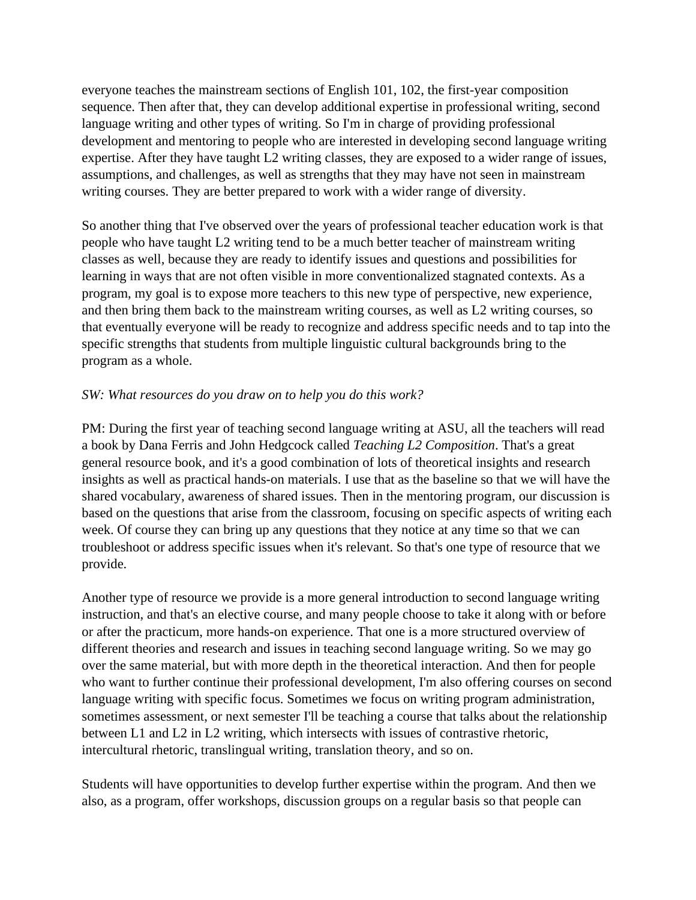everyone teaches the mainstream sections of English 101, 102, the first-year composition sequence. Then after that, they can develop additional expertise in professional writing, second language writing and other types of writing. So I'm in charge of providing professional development and mentoring to people who are interested in developing second language writing expertise. After they have taught L2 writing classes, they are exposed to a wider range of issues, assumptions, and challenges, as well as strengths that they may have not seen in mainstream writing courses. They are better prepared to work with a wider range of diversity.

So another thing that I've observed over the years of professional teacher education work is that people who have taught L2 writing tend to be a much better teacher of mainstream writing classes as well, because they are ready to identify issues and questions and possibilities for learning in ways that are not often visible in more conventionalized stagnated contexts. As a program, my goal is to expose more teachers to this new type of perspective, new experience, and then bring them back to the mainstream writing courses, as well as L2 writing courses, so that eventually everyone will be ready to recognize and address specific needs and to tap into the specific strengths that students from multiple linguistic cultural backgrounds bring to the program as a whole.

## *SW: What resources do you draw on to help you do this work?*

PM: During the first year of teaching second language writing at ASU, all the teachers will read a book by Dana Ferris and John Hedgcock called *Teaching L2 Composition*. That's a great general resource book, and it's a good combination of lots of theoretical insights and research insights as well as practical hands-on materials. I use that as the baseline so that we will have the shared vocabulary, awareness of shared issues. Then in the mentoring program, our discussion is based on the questions that arise from the classroom, focusing on specific aspects of writing each week. Of course they can bring up any questions that they notice at any time so that we can troubleshoot or address specific issues when it's relevant. So that's one type of resource that we provide.

Another type of resource we provide is a more general introduction to second language writing instruction, and that's an elective course, and many people choose to take it along with or before or after the practicum, more hands-on experience. That one is a more structured overview of different theories and research and issues in teaching second language writing. So we may go over the same material, but with more depth in the theoretical interaction. And then for people who want to further continue their professional development, I'm also offering courses on second language writing with specific focus. Sometimes we focus on writing program administration, sometimes assessment, or next semester I'll be teaching a course that talks about the relationship between L1 and L2 in L2 writing, which intersects with issues of contrastive rhetoric, intercultural rhetoric, translingual writing, translation theory, and so on.

Students will have opportunities to develop further expertise within the program. And then we also, as a program, offer workshops, discussion groups on a regular basis so that people can